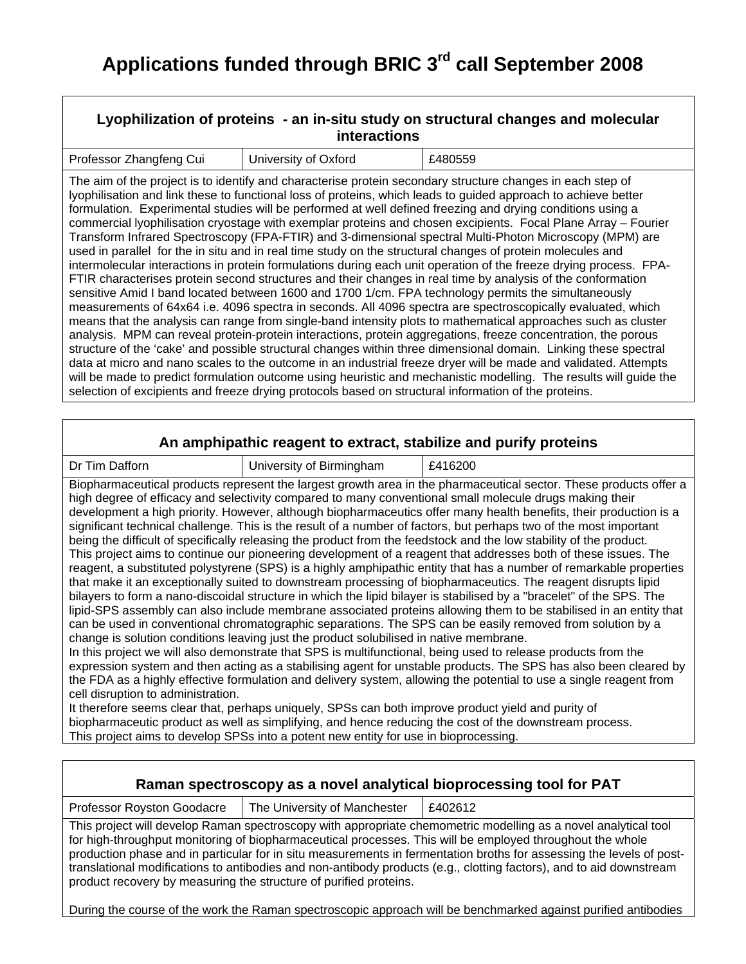| Lyophilization of proteins - an in-situ study on structural changes and molecular<br><b>interactions</b> |                                                                                                      |                                                                                                                                                                                                                                                                                                                                                                                                                                                                                                                                                                                                                                                                                                                                                                                                                                                                                                                                                                                                                                                                                                                                                                                                                                                                                                                                                                                                                                                                                                                                                                                                                                                                                                                                             |
|----------------------------------------------------------------------------------------------------------|------------------------------------------------------------------------------------------------------|---------------------------------------------------------------------------------------------------------------------------------------------------------------------------------------------------------------------------------------------------------------------------------------------------------------------------------------------------------------------------------------------------------------------------------------------------------------------------------------------------------------------------------------------------------------------------------------------------------------------------------------------------------------------------------------------------------------------------------------------------------------------------------------------------------------------------------------------------------------------------------------------------------------------------------------------------------------------------------------------------------------------------------------------------------------------------------------------------------------------------------------------------------------------------------------------------------------------------------------------------------------------------------------------------------------------------------------------------------------------------------------------------------------------------------------------------------------------------------------------------------------------------------------------------------------------------------------------------------------------------------------------------------------------------------------------------------------------------------------------|
| Professor Zhangfeng Cui                                                                                  | University of Oxford                                                                                 | £480559                                                                                                                                                                                                                                                                                                                                                                                                                                                                                                                                                                                                                                                                                                                                                                                                                                                                                                                                                                                                                                                                                                                                                                                                                                                                                                                                                                                                                                                                                                                                                                                                                                                                                                                                     |
|                                                                                                          | selection of excipients and freeze drying protocols based on structural information of the proteins. | The aim of the project is to identify and characterise protein secondary structure changes in each step of<br>lyophilisation and link these to functional loss of proteins, which leads to guided approach to achieve better<br>formulation. Experimental studies will be performed at well defined freezing and drying conditions using a<br>commercial lyophilisation cryostage with exemplar proteins and chosen excipients. Focal Plane Array - Fourier<br>Transform Infrared Spectroscopy (FPA-FTIR) and 3-dimensional spectral Multi-Photon Microscopy (MPM) are<br>used in parallel for the in situ and in real time study on the structural changes of protein molecules and<br>intermolecular interactions in protein formulations during each unit operation of the freeze drying process. FPA-<br>FTIR characterises protein second structures and their changes in real time by analysis of the conformation<br>sensitive Amid I band located between 1600 and 1700 1/cm. FPA technology permits the simultaneously<br>measurements of 64x64 i.e. 4096 spectra in seconds. All 4096 spectra are spectroscopically evaluated, which<br>means that the analysis can range from single-band intensity plots to mathematical approaches such as cluster<br>analysis. MPM can reveal protein-protein interactions, protein aggregations, freeze concentration, the porous<br>structure of the 'cake' and possible structural changes within three dimensional domain. Linking these spectral<br>data at micro and nano scales to the outcome in an industrial freeze dryer will be made and validated. Attempts<br>will be made to predict formulation outcome using heuristic and mechanistic modelling. The results will guide the |

#### **An amphipathic reagent to extract, stabilize and purify proteins**

Dr Tim Dafforn **Dr Tim Dafform Dr Tim Dafform E416200** 

Biopharmaceutical products represent the largest growth area in the pharmaceutical sector. These products offer a high degree of efficacy and selectivity compared to many conventional small molecule drugs making their development a high priority. However, although biopharmaceutics offer many health benefits, their production is a significant technical challenge. This is the result of a number of factors, but perhaps two of the most important being the difficult of specifically releasing the product from the feedstock and the low stability of the product. This project aims to continue our pioneering development of a reagent that addresses both of these issues. The reagent, a substituted polystyrene (SPS) is a highly amphipathic entity that has a number of remarkable properties that make it an exceptionally suited to downstream processing of biopharmaceutics. The reagent disrupts lipid bilayers to form a nano-discoidal structure in which the lipid bilayer is stabilised by a "bracelet" of the SPS. The lipid-SPS assembly can also include membrane associated proteins allowing them to be stabilised in an entity that can be used in conventional chromatographic separations. The SPS can be easily removed from solution by a change is solution conditions leaving just the product solubilised in native membrane.

In this project we will also demonstrate that SPS is multifunctional, being used to release products from the expression system and then acting as a stabilising agent for unstable products. The SPS has also been cleared by the FDA as a highly effective formulation and delivery system, allowing the potential to use a single reagent from cell disruption to administration.

It therefore seems clear that, perhaps uniquely, SPSs can both improve product yield and purity of biopharmaceutic product as well as simplifying, and hence reducing the cost of the downstream process. This project aims to develop SPSs into a potent new entity for use in bioprocessing.

| Raman spectroscopy as a novel analytical bioprocessing tool for PAT                                                                                                                                                                                                                                                                                                                                                                                                                                                                             |                              |         |
|-------------------------------------------------------------------------------------------------------------------------------------------------------------------------------------------------------------------------------------------------------------------------------------------------------------------------------------------------------------------------------------------------------------------------------------------------------------------------------------------------------------------------------------------------|------------------------------|---------|
| Professor Royston Goodacre                                                                                                                                                                                                                                                                                                                                                                                                                                                                                                                      | The University of Manchester | £402612 |
| This project will develop Raman spectroscopy with appropriate chemometric modelling as a novel analytical tool<br>for high-throughput monitoring of biopharmaceutical processes. This will be employed throughout the whole<br>production phase and in particular for in situ measurements in fermentation broths for assessing the levels of post-<br>translational modifications to antibodies and non-antibody products (e.g., clotting factors), and to aid downstream<br>product recovery by measuring the structure of purified proteins. |                              |         |
| During the course of the work the Raman spectroscopic approach will be benchmarked against purified antibodies                                                                                                                                                                                                                                                                                                                                                                                                                                  |                              |         |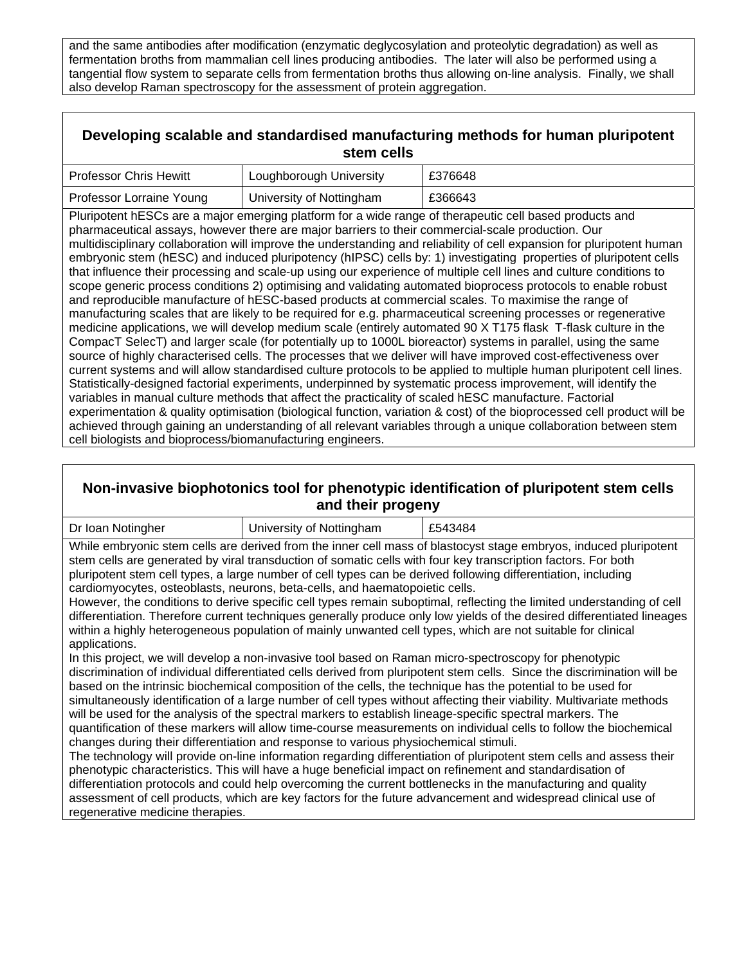and the same antibodies after modification (enzymatic deglycosylation and proteolytic degradation) as well as fermentation broths from mammalian cell lines producing antibodies. The later will also be performed using a tangential flow system to separate cells from fermentation broths thus allowing on-line analysis. Finally, we shall also develop Raman spectroscopy for the assessment of protein aggregation.

## **Developing scalable and standardised manufacturing methods for human pluripotent stem cells**

| <b>Professor Chris Hewitt</b> | Loughborough University  | £376648 |
|-------------------------------|--------------------------|---------|
| Professor Lorraine Young      | University of Nottingham | £366643 |

Pluripotent hESCs are a major emerging platform for a wide range of therapeutic cell based products and pharmaceutical assays, however there are major barriers to their commercial-scale production. Our multidisciplinary collaboration will improve the understanding and reliability of cell expansion for pluripotent human embryonic stem (hESC) and induced pluripotency (hIPSC) cells by: 1) investigating properties of pluripotent cells that influence their processing and scale-up using our experience of multiple cell lines and culture conditions to scope generic process conditions 2) optimising and validating automated bioprocess protocols to enable robust and reproducible manufacture of hESC-based products at commercial scales. To maximise the range of manufacturing scales that are likely to be required for e.g. pharmaceutical screening processes or regenerative medicine applications, we will develop medium scale (entirely automated 90 X T175 flask T-flask culture in the CompacT SelecT) and larger scale (for potentially up to 1000L bioreactor) systems in parallel, using the same source of highly characterised cells. The processes that we deliver will have improved cost-effectiveness over current systems and will allow standardised culture protocols to be applied to multiple human pluripotent cell lines. Statistically-designed factorial experiments, underpinned by systematic process improvement, will identify the variables in manual culture methods that affect the practicality of scaled hESC manufacture. Factorial experimentation & quality optimisation (biological function, variation & cost) of the bioprocessed cell product will be achieved through gaining an understanding of all relevant variables through a unique collaboration between stem cell biologists and bioprocess/biomanufacturing engineers.

## **Non-invasive biophotonics tool for phenotypic identification of pluripotent stem cells and their progeny**

| Dr Ioan Notingher                                                                                                | University of Nottingham | £543484 |
|------------------------------------------------------------------------------------------------------------------|--------------------------|---------|
| While embryonic stem cells are derived from the inner cell mass of blastocyst stage embryos, induced pluripotent |                          |         |
| stem cells are generated by viral transduction of somatic cells with four key transcription factors. For both    |                          |         |
| pluripotent stem cell types, a large number of cell types can be derived following differentiation, including    |                          |         |
| cardiomyocytes, osteoblasts, neurons, beta-cells, and haematopoietic cells.                                      |                          |         |

However, the conditions to derive specific cell types remain suboptimal, reflecting the limited understanding of cell differentiation. Therefore current techniques generally produce only low yields of the desired differentiated lineages within a highly heterogeneous population of mainly unwanted cell types, which are not suitable for clinical applications.

In this project, we will develop a non-invasive tool based on Raman micro-spectroscopy for phenotypic discrimination of individual differentiated cells derived from pluripotent stem cells. Since the discrimination will be based on the intrinsic biochemical composition of the cells, the technique has the potential to be used for simultaneously identification of a large number of cell types without affecting their viability. Multivariate methods will be used for the analysis of the spectral markers to establish lineage-specific spectral markers. The quantification of these markers will allow time-course measurements on individual cells to follow the biochemical changes during their differentiation and response to various physiochemical stimuli.

The technology will provide on-line information regarding differentiation of pluripotent stem cells and assess their phenotypic characteristics. This will have a huge beneficial impact on refinement and standardisation of differentiation protocols and could help overcoming the current bottlenecks in the manufacturing and quality assessment of cell products, which are key factors for the future advancement and widespread clinical use of regenerative medicine therapies.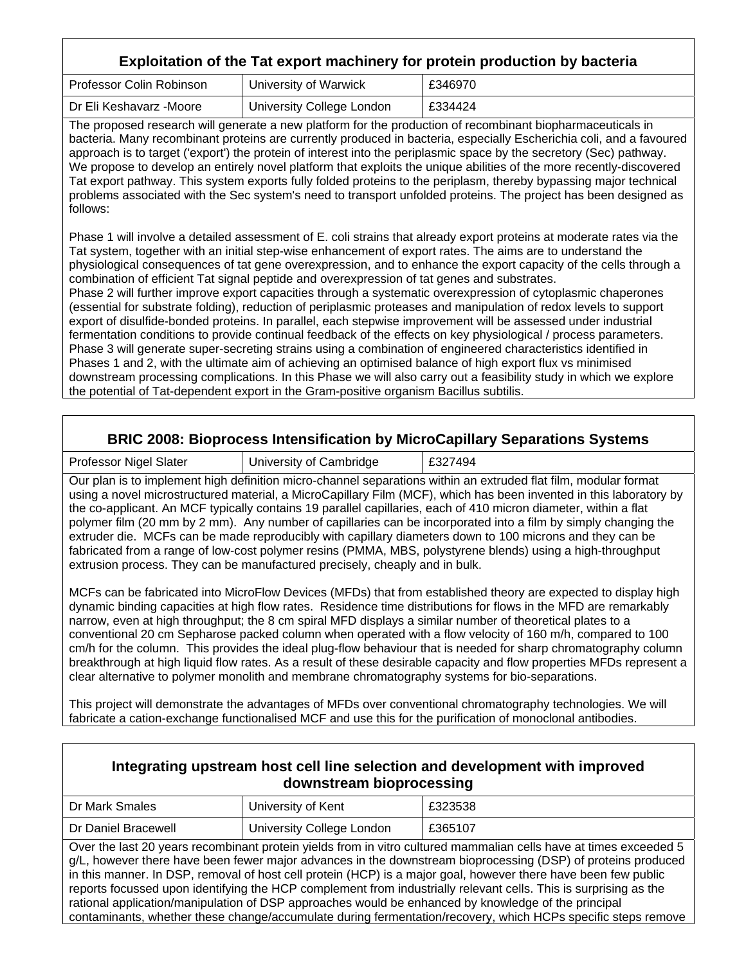# **Exploitation of the Tat export machinery for protein production by bacteria**

| <b>Professor Colin Robinson</b> | University of Warwick     | £346970 |
|---------------------------------|---------------------------|---------|
| Dr Eli Keshavarz -Moore         | University College London | £334424 |

The proposed research will generate a new platform for the production of recombinant biopharmaceuticals in bacteria. Many recombinant proteins are currently produced in bacteria, especially Escherichia coli, and a favoured approach is to target ('export') the protein of interest into the periplasmic space by the secretory (Sec) pathway. We propose to develop an entirely novel platform that exploits the unique abilities of the more recently-discovered Tat export pathway. This system exports fully folded proteins to the periplasm, thereby bypassing major technical problems associated with the Sec system's need to transport unfolded proteins. The project has been designed as follows:

Phase 1 will involve a detailed assessment of E. coli strains that already export proteins at moderate rates via the Tat system, together with an initial step-wise enhancement of export rates. The aims are to understand the physiological consequences of tat gene overexpression, and to enhance the export capacity of the cells through a combination of efficient Tat signal peptide and overexpression of tat genes and substrates.

Phase 2 will further improve export capacities through a systematic overexpression of cytoplasmic chaperones (essential for substrate folding), reduction of periplasmic proteases and manipulation of redox levels to support export of disulfide-bonded proteins. In parallel, each stepwise improvement will be assessed under industrial fermentation conditions to provide continual feedback of the effects on key physiological / process parameters. Phase 3 will generate super-secreting strains using a combination of engineered characteristics identified in Phases 1 and 2, with the ultimate aim of achieving an optimised balance of high export flux vs minimised downstream processing complications. In this Phase we will also carry out a feasibility study in which we explore the potential of Tat-dependent export in the Gram-positive organism Bacillus subtilis.

## **BRIC 2008: Bioprocess Intensification by MicroCapillary Separations Systems**

Professor Nigel Slater | University of Cambridge | £327494

Our plan is to implement high definition micro-channel separations within an extruded flat film, modular format using a novel microstructured material, a MicroCapillary Film (MCF), which has been invented in this laboratory by the co-applicant. An MCF typically contains 19 parallel capillaries, each of 410 micron diameter, within a flat polymer film (20 mm by 2 mm). Any number of capillaries can be incorporated into a film by simply changing the extruder die. MCFs can be made reproducibly with capillary diameters down to 100 microns and they can be fabricated from a range of low-cost polymer resins (PMMA, MBS, polystyrene blends) using a high-throughput extrusion process. They can be manufactured precisely, cheaply and in bulk.

MCFs can be fabricated into MicroFlow Devices (MFDs) that from established theory are expected to display high dynamic binding capacities at high flow rates. Residence time distributions for flows in the MFD are remarkably narrow, even at high throughput; the 8 cm spiral MFD displays a similar number of theoretical plates to a conventional 20 cm Sepharose packed column when operated with a flow velocity of 160 m/h, compared to 100 cm/h for the column. This provides the ideal plug-flow behaviour that is needed for sharp chromatography column breakthrough at high liquid flow rates. As a result of these desirable capacity and flow properties MFDs represent a clear alternative to polymer monolith and membrane chromatography systems for bio-separations.

This project will demonstrate the advantages of MFDs over conventional chromatography technologies. We will fabricate a cation-exchange functionalised MCF and use this for the purification of monoclonal antibodies.

| Integrating upstream host cell line selection and development with improved<br>downstream bioprocessing                                                                                                                                                                                                                                                                                                                                                                                                                                                                                                                                                                                        |                           |         |
|------------------------------------------------------------------------------------------------------------------------------------------------------------------------------------------------------------------------------------------------------------------------------------------------------------------------------------------------------------------------------------------------------------------------------------------------------------------------------------------------------------------------------------------------------------------------------------------------------------------------------------------------------------------------------------------------|---------------------------|---------|
| Dr Mark Smales                                                                                                                                                                                                                                                                                                                                                                                                                                                                                                                                                                                                                                                                                 | University of Kent        | £323538 |
| Dr Daniel Bracewell                                                                                                                                                                                                                                                                                                                                                                                                                                                                                                                                                                                                                                                                            | University College London | £365107 |
| Over the last 20 years recombinant protein yields from in vitro cultured mammalian cells have at times exceeded 5<br>g/L, however there have been fewer major advances in the downstream bioprocessing (DSP) of proteins produced<br>in this manner. In DSP, removal of host cell protein (HCP) is a major goal, however there have been few public<br>reports focussed upon identifying the HCP complement from industrially relevant cells. This is surprising as the<br>rational application/manipulation of DSP approaches would be enhanced by knowledge of the principal<br>contaminants, whether these change/accumulate during fermentation/recovery, which HCPs specific steps remove |                           |         |